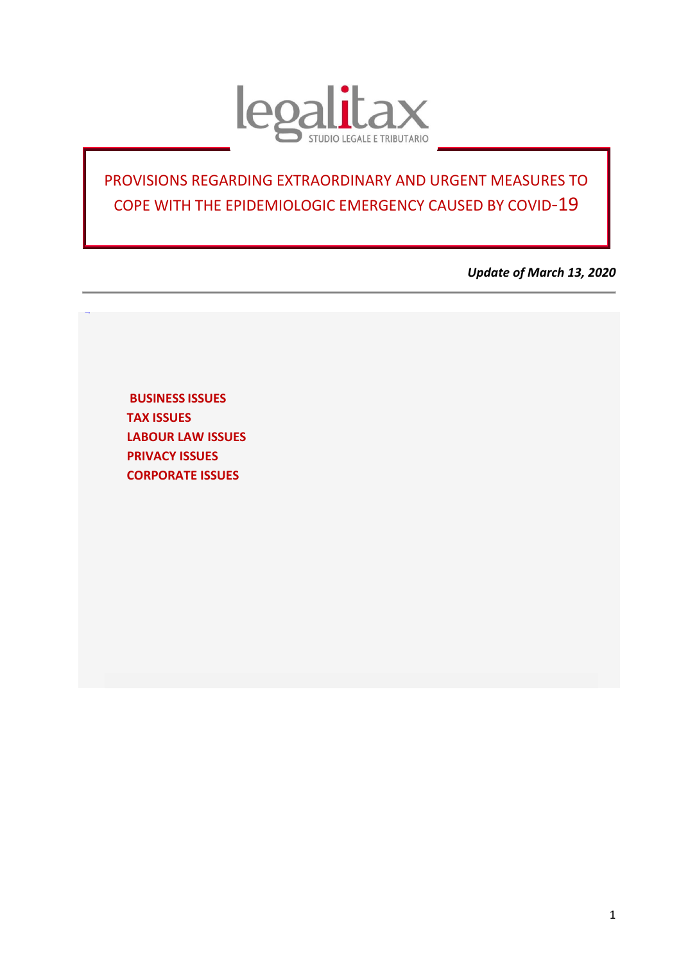

## PROVISIONS REGARDING EXTRAORDINARY AND URGENT MEASURES TO COPE WITH THE EPIDEMIOLOGIC EMERGENCY CAUSED BY COVID-19

*Update of March 13, 2020*

<span id="page-0-0"></span>**BUSINESS ISSUES [TAX ISSUES](#page-2-0)  LABOUR LAW ISSUES [PRIVACY](#page-7-0) ISSUES [CORPORATE ISSUES](#page-7-0)**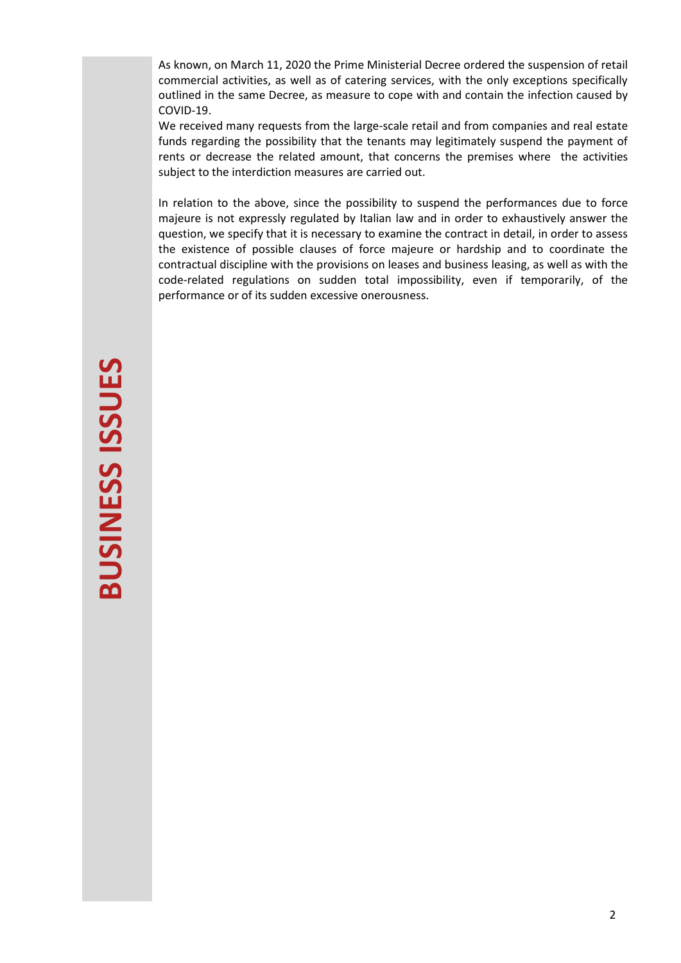As known, on March 11, 2020 the Prime Ministerial Decree ordered the suspension of retail commercial activities, as well as of catering services, with the only exceptions specifically outlined in the same Decree, as measure to cope with and contain the infection caused by COVID-19.

We received many requests from the large-scale retail and from companies and real estate funds regarding the possibility that the tenants may legitimately suspend the payment of rents or decrease the related amount, that concerns the premises where the activities subject to the interdiction measures are carried out.

In relation to the above, since the possibility to suspend the performances due to force majeure is not expressly regulated by Italian law and in order to exhaustively answer the question, we specify that it is necessary to examine the contract in detail, in order to assess the existence of possible clauses of force majeure or hardship and to coordinate the contractual discipline with the provisions on leases and business leasing, as well as with the code-related regulations on sudden total impossibility, even if temporarily, of the performance or of its sudden excessive onerousness.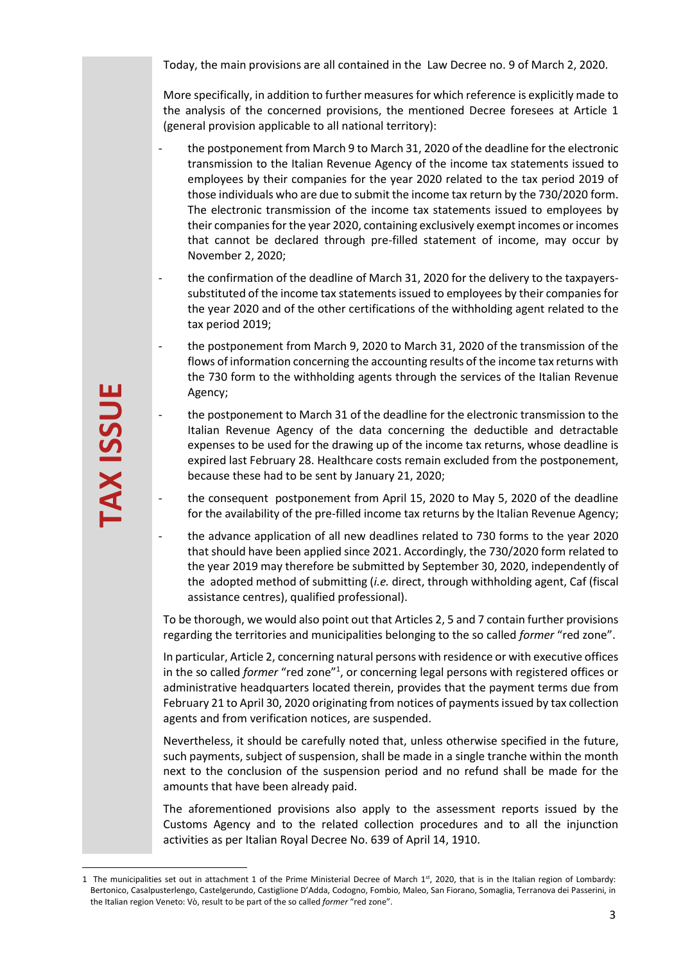Today, the main provisions are all contained in the Law Decree no. 9 of March 2, 2020.

More specifically, in addition to further measures for which reference is explicitly made to the analysis of the concerned provisions, the mentioned Decree foresees at Article 1 (general provision applicable to all national territory):

- the postponement from March 9 to March 31, 2020 of the deadline for the electronic transmission to the Italian Revenue Agency of the income tax statements issued to employees by their companies for the year 2020 related to the tax period 2019 of those individuals who are due to submit the income tax return by the 730/2020 form. The electronic transmission of the income tax statements issued to employees by their companies for the year 2020, containing exclusively exempt incomes or incomes that cannot be declared through pre-filled statement of income, may occur by November 2, 2020;
- the confirmation of the deadline of March 31, 2020 for the delivery to the taxpayerssubstituted of the income tax statements issued to employees by their companies for the year 2020 and of the other certifications of the withholding agent related to the tax period 2019;
- the postponement from March 9, 2020 to March 31, 2020 of the transmission of the flows of information concerning the accounting results of the income tax returns with the 730 form to the withholding agents through the services of the Italian Revenue Agency;
- the postponement to March 31 of the deadline for the electronic transmission to the Italian Revenue Agency of the data concerning the deductible and detractable expenses to be used for the drawing up of the income tax returns, whose deadline is expired last February 28. Healthcare costs remain excluded from the postponement, because these had to be sent by January 21, 2020;
- <span id="page-2-0"></span>- the consequent postponement from April 15, 2020 to May 5, 2020 of the deadline for the availability of the pre-filled income tax returns by the Italian Revenue Agency;
- the advance application of all new deadlines related to 730 forms to the year 2020 that should have been applied since 2021. Accordingly, the 730/2020 form related to the year 2019 may therefore be submitted by September 30, 2020, independently of the adopted method of submitting (*i.e.* direct, through withholding agent, Caf (fiscal assistance centres), qualified professional).

To be thorough, we would also point out that Articles 2, 5 and 7 contain further provisions regarding the territories and municipalities belonging to the so called *former* "red zone".

Agency;<br>
the postponement to March 31 of the data relation<br>
texpenses to be used for the drawing up<br>
expired last February 28. Healthcare cos<br>
because these had to be sent by January<br>
the consequent postponement from A<br>
fo In particular, Article 2, concerning natural persons with residence or with executive offices in the so called *former* "red zone"<sup>1</sup> , or concerning legal persons with registered offices or administrative headquarters located therein, provides that the payment terms due from February 21 to April 30, 2020 originating from notices of payments issued by tax collection agents and from verification notices, are suspended.

Nevertheless, it should be carefully noted that, unless otherwise specified in the future, such payments, subject of suspension, shall be made in a single tranche within the month next to the conclusion of the suspension period and no refund shall be made for the amounts that have been already paid.

The aforementioned provisions also apply to the assessment reports issued by the Customs Agency and to the related collection procedures and to all the injunction activities as per Italian Royal Decree No. 639 of April 14, 1910.

<sup>1</sup> The municipalities set out in attachment 1 of the Prime Ministerial Decree of March 1st, 2020, that is in the Italian region of Lombardy: Bertonico, Casalpusterlengo, Castelgerundo, Castiglione D'Adda, Codogno, Fombio, Maleo, San Fiorano, Somaglia, Terranova dei Passerini, in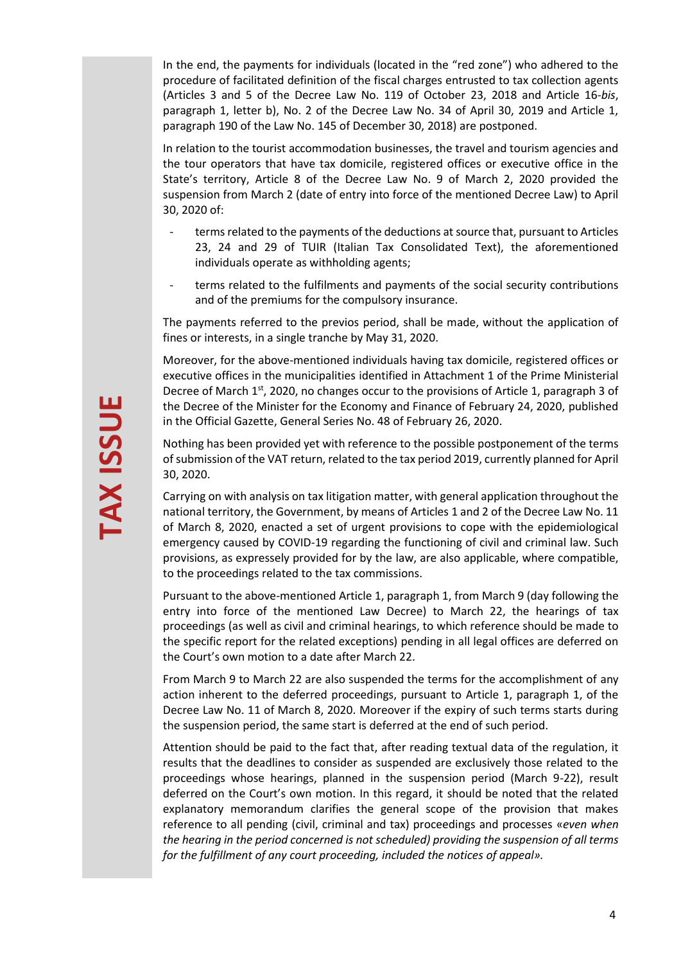In the end, the payments for individuals (located in the "red zone") who adhered to the procedure of facilitated definition of the fiscal charges entrusted to tax collection agents (Articles 3 and 5 of the Decree Law No. 119 of October 23, 2018 and Article 16-*bis*, paragraph 1, letter b), No. 2 of the Decree Law No. 34 of April 30, 2019 and Article 1, paragraph 190 of the Law No. 145 of December 30, 2018) are postponed.

In relation to the tourist accommodation businesses, the travel and tourism agencies and the tour operators that have tax domicile, registered offices or executive office in the State's territory, Article 8 of the Decree Law No. 9 of March 2, 2020 provided the suspension from March 2 (date of entry into force of the mentioned Decree Law) to April 30, 2020 of:

- terms related to the payments of the deductions at source that, pursuant to Articles 23, 24 and 29 of TUIR (Italian Tax Consolidated Text), the aforementioned individuals operate as withholding agents;
- terms related to the fulfilments and payments of the social security contributions and of the premiums for the compulsory insurance.

The payments referred to the previos period, shall be made, without the application of fines or interests, in a single tranche by May 31, 2020.

Moreover, for the above-mentioned individuals having tax domicile, registered offices or executive offices in the municipalities identified in Attachment 1 of the Prime Ministerial Decree of March  $1<sup>st</sup>$ , 2020, no changes occur to the provisions of Article 1, paragraph 3 of the Decree of the Minister for the Economy and Finance of February 24, 2020, published in the Official Gazette, General Series No. 48 of February 26, 2020.

Nothing has been provided yet with reference to the possible postponement of the terms of submission of the VAT return, related to the tax period 2019, currently planned for April 30, 2020.

Carrying on with analysis on tax litigation matter, with general application throughout the national territory, the Government, by means of Articles 1 and 2 of the Decree Law No. 11 of March 8, 2020, enacted a set of urgent provisions to cope with the epidemiological emergency caused by COVID-19 regarding the functioning of civil and criminal law. Such provisions, as expressely provided for by the law, are also applicable, where compatible, to the proceedings related to the tax commissions.

Pursuant to the above-mentioned Article 1, paragraph 1, from March 9 (day following the entry into force of the mentioned Law Decree) to March 22, the hearings of tax proceedings (as well as civil and criminal hearings, to which reference should be made to the specific report for the related exceptions) pending in all legal offices are deferred on the Court's own motion to a date after March 22.

From March 9 to March 22 are also suspended the terms for the accomplishment of any action inherent to the deferred proceedings, pursuant to Article 1, paragraph 1, of the Decree Law No. 11 of March 8, 2020. Moreover if the expiry of such terms starts during the suspension period, the same start is deferred at the end of such period.

Attention should be paid to the fact that, after reading textual data of the regulation, it results that the deadlines to consider as suspended are exclusively those related to the proceedings whose hearings, planned in the suspension period (March 9-22), result deferred on the Court's own motion. In this regard, it should be noted that the related explanatory memorandum clarifies the general scope of the provision that makes reference to all pending (civil, criminal and tax) proceedings and processes «*even when the hearing in the period concerned is not scheduled) providing the suspension of all terms for the fulfillment of any court proceeding, included the notices of appeal».*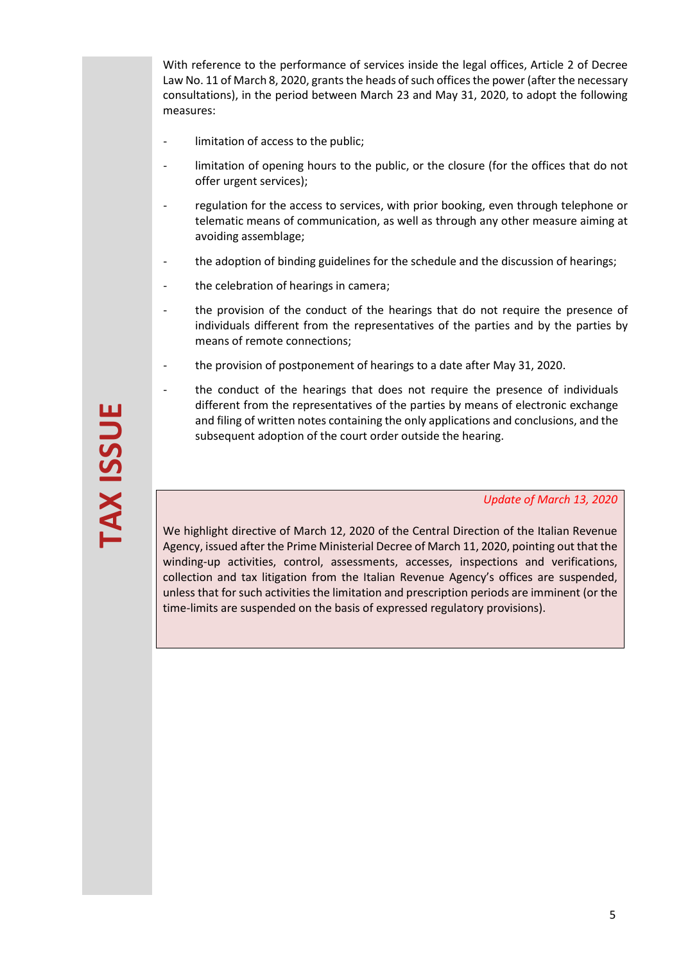With reference to the performance of services inside the legal offices, Article 2 of Decree Law No. 11 of March 8, 2020, grants the heads of such offices the power (after the necessary consultations), in the period between March 23 and May 31, 2020, to adopt the following measures:

- limitation of access to the public;
- limitation of opening hours to the public, or the closure (for the offices that do not offer urgent services);
- regulation for the access to services, with prior booking, even through telephone or telematic means of communication, as well as through any other measure aiming at avoiding assemblage;
- the adoption of binding guidelines for the schedule and the discussion of hearings;
- the celebration of hearings in camera;
- the provision of the conduct of the hearings that do not require the presence of individuals different from the representatives of the parties and by the parties by means of remote connections;
- the provision of postponement of hearings to a date after May 31, 2020.
- the conduct of the hearings that does not require the presence of individuals different from the representatives of the parties by means of electronic exchange and filing of written notes containing the only applications and conclusions, and the subsequent adoption of the court order outside the hearing.

*Update of March 13, 2020*

We highlight directive of March 12, 2020 of the Central Direction of the Italian Revenue Agency, issued after the Prime Ministerial Decree of March 11, 2020, pointing out that the winding-up activities, control, assessments, accesses, inspections and verifications, collection and tax litigation from the Italian Revenue Agency's offices are suspended, unless that for such activities the limitation and prescription periods are imminent (or the time-limits are suspended on the basis of expressed regulatory provisions).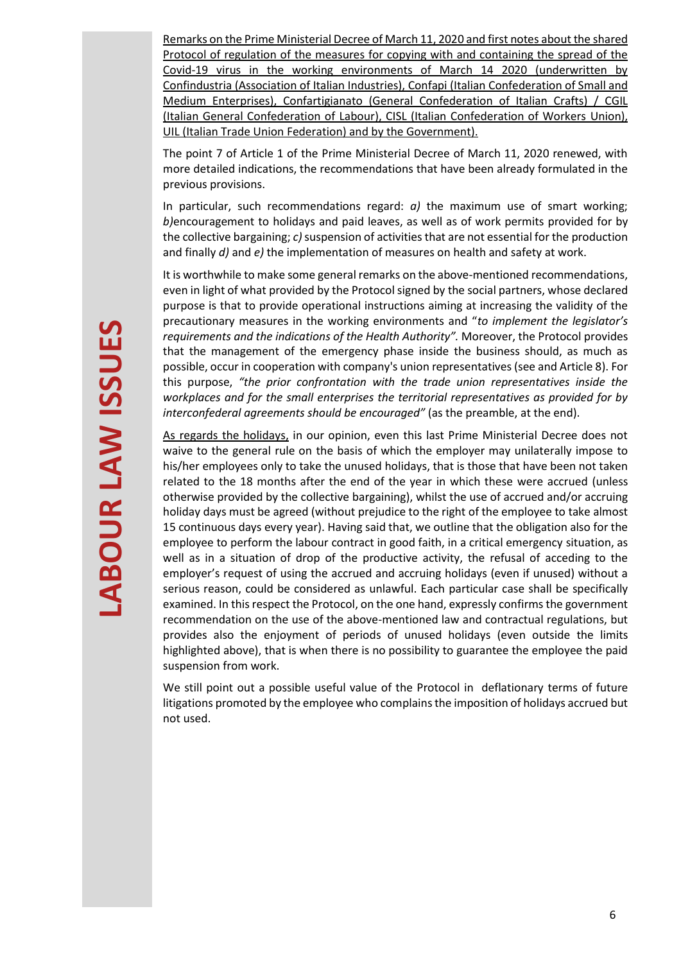Remarks on the Prime Ministerial Decree of March 11, 2020 and first notes about the shared Protocol of regulation of the measures for copying with and containing the spread of the Covid-19 virus in the working environments of March 14 2020 (underwritten by Confindustria (Association of Italian Industries), Confapi (Italian Confederation of Small and Medium Enterprises), Confartigianato (General Confederation of Italian Crafts) / CGIL (Italian General Confederation of Labour), CISL (Italian Confederation of Workers Union), UIL (Italian Trade Union Federation) and by the Government).

The point 7 of Article 1 of the Prime Ministerial Decree of March 11, 2020 renewed, with more detailed indications, the recommendations that have been already formulated in the previous provisions.

In particular, such recommendations regard: *a)* the maximum use of smart working; *b)*encouragement to holidays and paid leaves, as well as of work permits provided for by the collective bargaining; *c)* suspension of activities that are not essential for the production and finally *d)* and *e)* the implementation of measures on health and safety at work.

It is worthwhile to make some general remarks on the above-mentioned recommendations, even in light of what provided by the Protocol signed by the social partners, whose declared purpose is that to provide operational instructions aiming at increasing the validity of the precautionary measures in the working environments and "*to implement the legislator's requirements and the indications of the Health Authority".* Moreover, the Protocol provides that the management of the emergency phase inside the business should, as much as possible, occur in cooperation with company's union representatives(see and Article 8). For this purpose, *"the prior confrontation with the trade union representatives inside the workplaces and for the small enterprises the territorial representatives as provided for by interconfederal agreements should be encouraged"* (as the preamble, at the end).

As regards the holidays, in our opinion, even this last Prime Ministerial Decree does not waive to the general rule on the basis of which the employer may unilaterally impose to his/her employees only to take the unused holidays, that is those that have been not taken related to the 18 months after the end of the year in which these were accrued (unless otherwise provided by the collective bargaining), whilst the use of accrued and/or accruing holiday days must be agreed (without prejudice to the right of the employee to take almost 15 continuous days every year). Having said that, we outline that the obligation also for the employee to perform the labour contract in good faith, in a critical emergency situation, as well as in a situation of drop of the productive activity, the refusal of acceding to the employer's request of using the accrued and accruing holidays (even if unused) without a serious reason, could be considered as unlawful. Each particular case shall be specifically examined. In this respect the Protocol, on the one hand, expressly confirms the government recommendation on the use of the above-mentioned law and contractual regulations, but provides also the enjoyment of periods of unused holidays (even outside the limits highlighted above), that is when there is no possibility to guarantee the employee the paid suspension from work.

We still point out a possible useful value of the Protocol in deflationary terms of future litigations promoted by the employee who complainsthe imposition of holidays accrued but not used.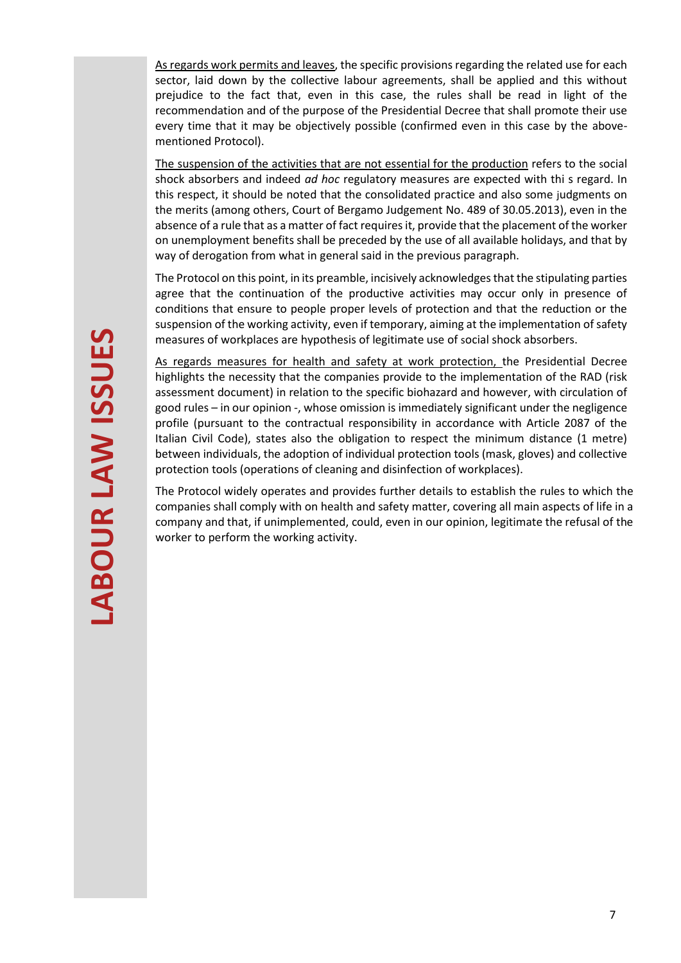As regards work permits and leaves, the specific provisions regarding the related use for each sector, laid down by the collective labour agreements, shall be applied and this without prejudice to the fact that, even in this case, the rules shall be read in light of the recommendation and of the purpose of the Presidential Decree that shall promote their use every time that it may be objectively possible (confirmed even in this case by the abovementioned Protocol).

The suspension of the activities that are not essential for the production refers to the social shock absorbers and indeed *ad hoc* regulatory measures are expected with thi s regard. In this respect, it should be noted that the consolidated practice and also some judgments on the merits (among others, Court of Bergamo Judgement No. 489 of 30.05.2013), even in the absence of a rule that as a matter of fact requires it, provide that the placement of the worker on unemployment benefits shall be preceded by the use of all available holidays, and that by way of derogation from what in general said in the previous paragraph.

The Protocol on this point, in its preamble, incisively acknowledges that the stipulating parties agree that the continuation of the productive activities may occur only in presence of conditions that ensure to people proper levels of protection and that the reduction or the suspension of the working activity, even if temporary, aiming at the implementation of safety measures of workplaces are hypothesis of legitimate use of social shock absorbers.

As regards measures for health and safety at work protection, the Presidential Decree highlights the necessity that the companies provide to the implementation of the RAD (risk assessment document) in relation to the specific biohazard and however, with circulation of good rules – in our opinion -, whose omission is immediately significant under the negligence profile (pursuant to the contractual responsibility in accordance with Article 2087 of the Italian Civil Code), states also the obligation to respect the minimum distance (1 metre) between individuals, the adoption of individual protection tools (mask, gloves) and collective protection tools (operations of cleaning and disinfection of workplaces).

The Protocol widely operates and provides further details to establish the rules to which the companies shall comply with on health and safety matter, covering all main aspects of life in a company and that, if unimplemented, could, even in our opinion, legitimate the refusal of the worker to perform the working activity.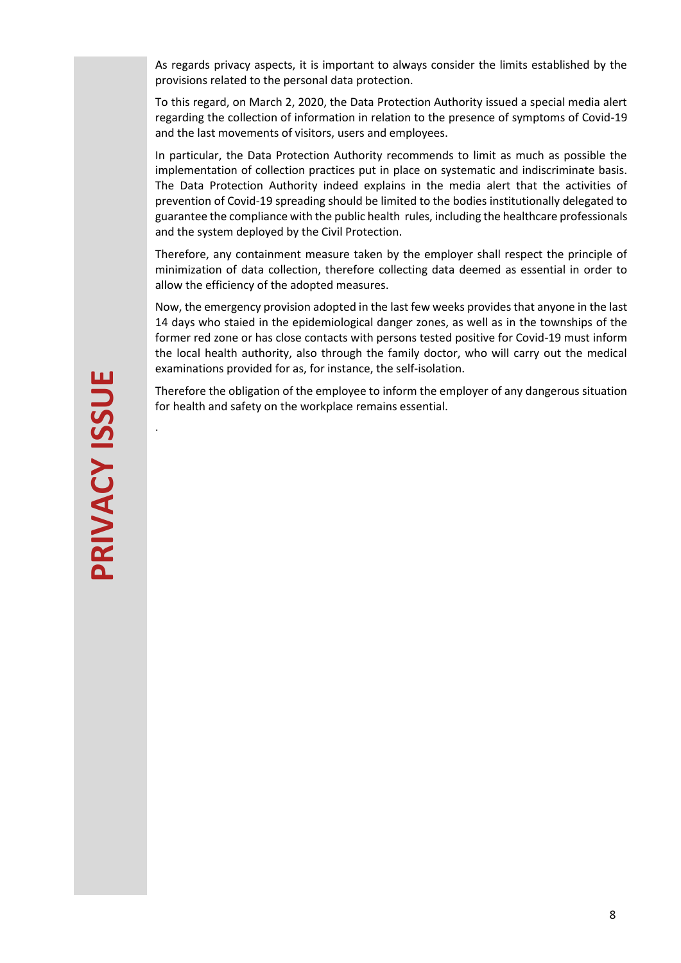As regards privacy aspects, it is important to always consider the limits established by the provisions related to the personal data protection.

To this regard, on March 2, 2020, the Data Protection Authority issued a special media alert regarding the collection of information in relation to the presence of symptoms of Covid-19 and the last movements of visitors, users and employees.

In particular, the Data Protection Authority recommends to limit as much as possible the implementation of collection practices put in place on systematic and indiscriminate basis. The Data Protection Authority indeed explains in the media alert that the activities of prevention of Covid-19 spreading should be limited to the bodies institutionally delegated to guarantee the compliance with the public health rules, including the healthcare professionals and the system deployed by the Civil Protection.

Therefore, any containment measure taken by the employer shall respect the principle of minimization of data collection, therefore collecting data deemed as essential in order to allow the efficiency of the adopted measures.

Now, the emergency provision adopted in the last few weeks provides that anyone in the last 14 days who staied in the epidemiological danger zones, as well as in the townships of the former red zone or has close contacts with persons tested positive for Covid-19 must inform the local health authority, also through the family doctor, who will carry out the medical examinations provided for as, for instance, the self-isolation.

Therefore the obligation of the employee to inform the employer of any dangerous situation for health and safety on the workplace remains essential.

<span id="page-7-0"></span>.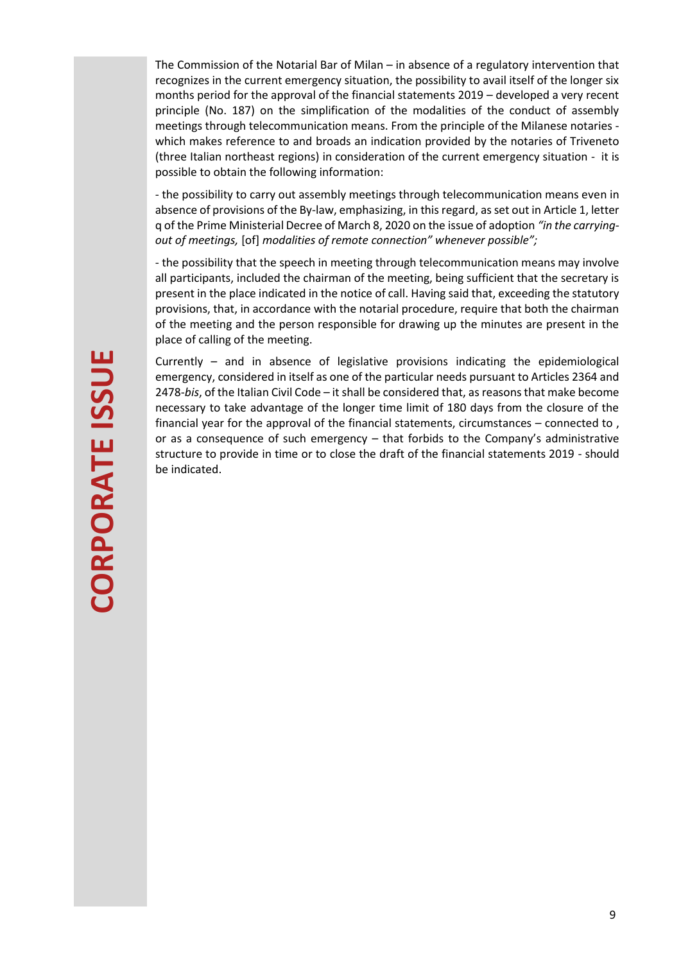The Commission of the Notarial Bar of Milan – in absence of a regulatory intervention that recognizes in the current emergency situation, the possibility to avail itself of the longer six months period for the approval of the financial statements 2019 – developed a very recent principle (No. 187) on the simplification of the modalities of the conduct of assembly meetings through telecommunication means. From the principle of the Milanese notaries which makes reference to and broads an indication provided by the notaries of Triveneto (three Italian northeast regions) in consideration of the current emergency situation - it is possible to obtain the following information:

- the possibility to carry out assembly meetings through telecommunication means even in absence of provisions of the By-law, emphasizing, in this regard, as set out in Article 1, letter q of the Prime Ministerial Decree of March 8, 2020 on the issue of adoption *"in the carryingout of meetings,* [of] *modalities of remote connection" whenever possible";*

- the possibility that the speech in meeting through telecommunication means may involve all participants, included the chairman of the meeting, being sufficient that the secretary is present in the place indicated in the notice of call. Having said that, exceeding the statutory provisions, that, in accordance with the notarial procedure, require that both the chairman of the meeting and the person responsible for drawing up the minutes are present in the place of calling of the meeting.

Currently – and in absence of legislative provisions indicating the epidemiological emergency, considered in itself as one of the particular needs pursuant to Articles 2364 and 2478-*bis*, of the Italian Civil Code – it shall be considered that, as reasons that make become necessary to take advantage of the longer time limit of 180 days from the closure of the financial year for the approval of the financial statements, circumstances – connected to , or as a consequence of such emergency – that forbids to the Company's administrative structure to provide in time or to close the draft of the financial statements 2019 - should be indicated.